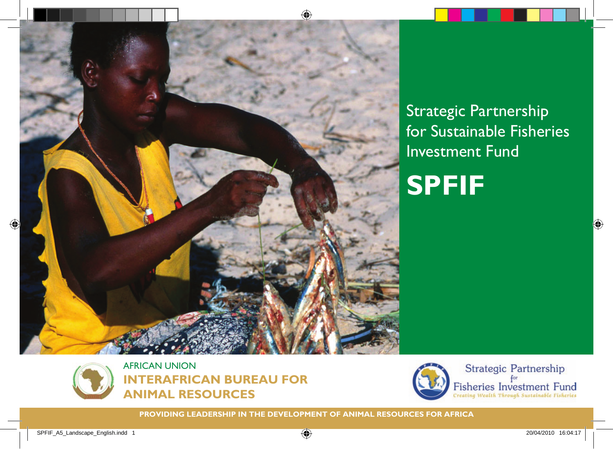

**SPFIF** Strategic Partnership for Sustainable Fisheries Investment Fund





**PROVIDING LEADERSHIP IN THE DEVELOPMENT OF ANIMAL RESOURCES FOR AFRICA**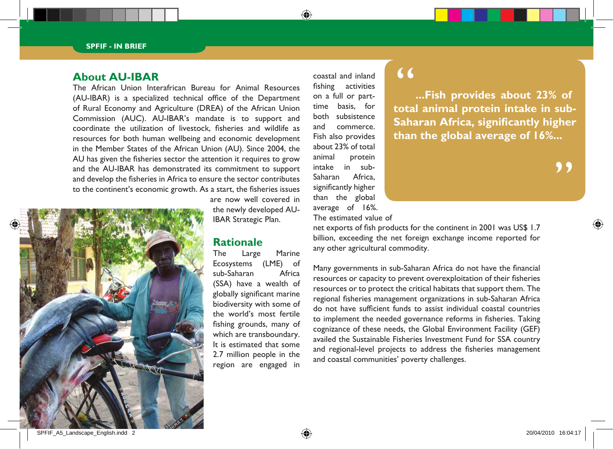#### **About AU-IBAR**

The African Union Interafrican Bureau for Animal Resources (AU-IBAR) is a specialized technical office of the Department of Rural Economy and Agriculture (DREA) of the African Union Commission (AUC). AU-IBAR's mandate is to support and coordinate the utilization of livestock, fisheries and wildlife as resources for both human wellbeing and economic development in the Member States of the African Union (AU). Since 2004, the AU has given the fisheries sector the attention it requires to grow and the AU-IBAR has demonstrated its commitment to support and develop the fisheries in Africa to ensure the sector contributes to the continent's economic growth. As a start, the fisheries issues



are now well covered in the newly developed AU-IBAR Strategic Plan.

## **Rationale**<br>The Large

Large Marine Ecosystems (LME) of sub-Saharan Africa (SSA) have a wealth of globally significant marine biodiversity with some of the world's most fertile fishing grounds, many of which are transboundary. It is estimated that some 2.7 million people in the region are engaged in

coastal and inland fishing activities on a full or parttime basis, for both subsistence and commerce. Fish also provides about 23% of total animal protein intake in sub-Saharan Africa, significantly higher than the global average of 16%.

### $\overline{66}$

**...Fish provides about 23% of total animal protein intake in sub-Saharan Africa, significantly higher than the global average of 16%...**

"<br>"

The estimated value of

net exports of fish products for the continent in 2001 was US\$ 1.7 billion, exceeding the net foreign exchange income reported for any other agricultural commodity.

Many governments in sub-Saharan Africa do not have the financial resources or capacity to prevent overexploitation of their fisheries resources or to protect the critical habitats that support them. The regional fisheries management organizations in sub-Saharan Africa do not have sufficient funds to assist individual coastal countries to implement the needed governance reforms in fisheries. Taking cognizance of these needs, the Global Environment Facility (GEF) availed the Sustainable Fisheries Investment Fund for SSA country and regional-level projects to address the fisheries management and coastal communities' poverty challenges.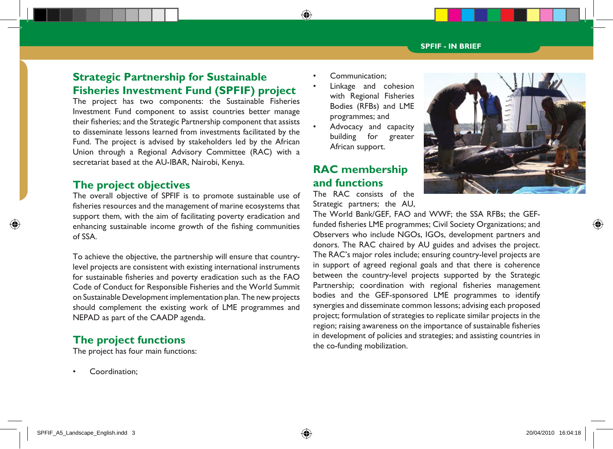### **Strategic Partnership for Sustainable Fisheries Investment Fund (SPFIF) project**

The project has two components: the Sustainable Fisheries Investment Fund component to assist countries better manage their fisheries; and the Strategic Partnership component that assists to disseminate lessons learned from investments facilitated by the Fund. The project is advised by stakeholders led by the African Union through a Regional Advisory Committee (RAC) with a secretariat based at the AU-IBAR, Nairobi, Kenya.

#### **The project objectives**

The overall objective of SPFIF is to promote sustainable use of fisheries resources and the management of marine ecosystems that support them, with the aim of facilitating poverty eradication and enhancing sustainable income growth of the fishing communities of SSA.

To achieve the objective, the partnership will ensure that countrylevel projects are consistent with existing international instruments for sustainable fisheries and poverty eradication such as the FAO Code of Conduct for Responsible Fisheries and the World Summit on Sustainable Development implementation plan. The new projects should complement the existing work of LME programmes and NEPAD as part of the CAADP agenda.

#### **The project functions**

The project has four main functions:

Coordination:

- Communication:
	- Linkage and cohesion with Regional Fisheries Bodies (RFBs) and LME programmes; and
- Advocacy and capacity building for greater African support.

### **RAC membership and functions**

The RAC consists of the Strategic partners; the AU,



The World Bank/GEF, FAO and WWF; the SSA RFBs; the GEFfunded fisheries LME programmes; Civil Society Organizations; and Observers who include NGOs, IGOs, development partners and donors. The RAC chaired by AU guides and advises the project. The RAC's major roles include; ensuring country-level projects are in support of agreed regional goals and that there is coherence between the country-level projects supported by the Strategic Partnership; coordination with regional fisheries management bodies and the GEF-sponsored LME programmes to identify synergies and disseminate common lessons; advising each proposed project; formulation of strategies to replicate similar projects in the region; raising awareness on the importance of sustainable fisheries in development of policies and strategies; and assisting countries in the co-funding mobilization.